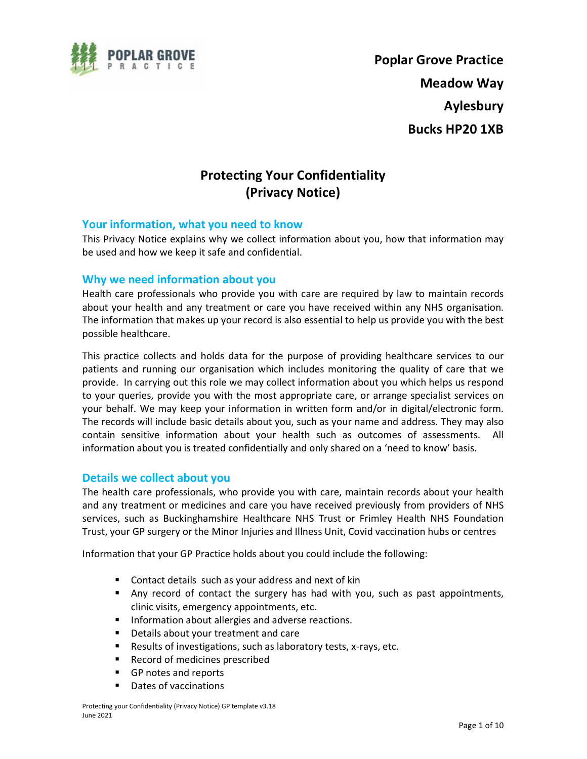

Poplar Grove Practice Meadow Way Aylesbury Bucks HP20 1XB

# Protecting Your Confidentiality (Privacy Notice)

### Your information, what you need to know

This Privacy Notice explains why we collect information about you, how that information may be used and how we keep it safe and confidential.

### Why we need information about you

Health care professionals who provide you with care are required by law to maintain records about your health and any treatment or care you have received within any NHS organisation. The information that makes up your record is also essential to help us provide you with the best possible healthcare.

This practice collects and holds data for the purpose of providing healthcare services to our patients and running our organisation which includes monitoring the quality of care that we provide. In carrying out this role we may collect information about you which helps us respond to your queries, provide you with the most appropriate care, or arrange specialist services on your behalf. We may keep your information in written form and/or in digital/electronic form. The records will include basic details about you, such as your name and address. They may also contain sensitive information about your health such as outcomes of assessments. All information about you is treated confidentially and only shared on a 'need to know' basis.

#### Details we collect about you

The health care professionals, who provide you with care, maintain records about your health and any treatment or medicines and care you have received previously from providers of NHS services, such as Buckinghamshire Healthcare NHS Trust or Frimley Health NHS Foundation Trust, your GP surgery or the Minor Injuries and Illness Unit, Covid vaccination hubs or centres

Information that your GP Practice holds about you could include the following:

- **Contact details such as your address and next of kin**
- Any record of contact the surgery has had with you, such as past appointments, clinic visits, emergency appointments, etc.
- **Information about allergies and adverse reactions.**
- **Details about your treatment and care**
- Results of investigations, such as laboratory tests, x-rays, etc.
- Record of medicines prescribed
- GP notes and reports
- Dates of vaccinations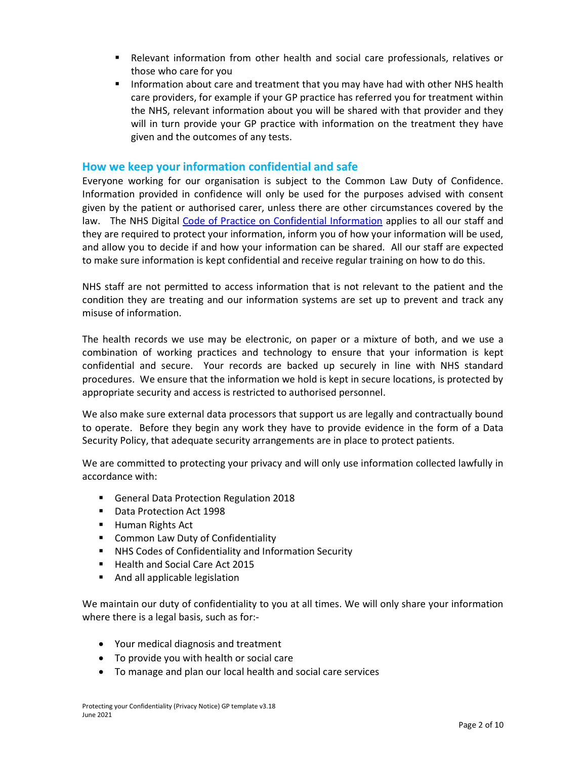- Relevant information from other health and social care professionals, relatives or those who care for you
- **Information about care and treatment that you may have had with other NHS health** care providers, for example if your GP practice has referred you for treatment within the NHS, relevant information about you will be shared with that provider and they will in turn provide your GP practice with information on the treatment they have given and the outcomes of any tests.

# How we keep your information confidential and safe

Everyone working for our organisation is subject to the Common Law Duty of Confidence. Information provided in confidence will only be used for the purposes advised with consent given by the patient or authorised carer, unless there are other circumstances covered by the law. The NHS Digital Code of Practice on Confidential Information applies to all our staff and they are required to protect your information, inform you of how your information will be used, and allow you to decide if and how your information can be shared. All our staff are expected to make sure information is kept confidential and receive regular training on how to do this.

NHS staff are not permitted to access information that is not relevant to the patient and the condition they are treating and our information systems are set up to prevent and track any misuse of information.

The health records we use may be electronic, on paper or a mixture of both, and we use a combination of working practices and technology to ensure that your information is kept confidential and secure. Your records are backed up securely in line with NHS standard procedures. We ensure that the information we hold is kept in secure locations, is protected by appropriate security and access is restricted to authorised personnel.

We also make sure external data processors that support us are legally and contractually bound to operate. Before they begin any work they have to provide evidence in the form of a Data Security Policy, that adequate security arrangements are in place to protect patients.

We are committed to protecting your privacy and will only use information collected lawfully in accordance with:

- General Data Protection Regulation 2018
- **Data Protection Act 1998**
- **Human Rights Act**
- **EXECOMMON Law Duty of Confidentiality**
- NHS Codes of Confidentiality and Information Security
- Health and Social Care Act 2015
- And all applicable legislation

We maintain our duty of confidentiality to you at all times. We will only share your information where there is a legal basis, such as for:-

- Your medical diagnosis and treatment
- To provide you with health or social care
- To manage and plan our local health and social care services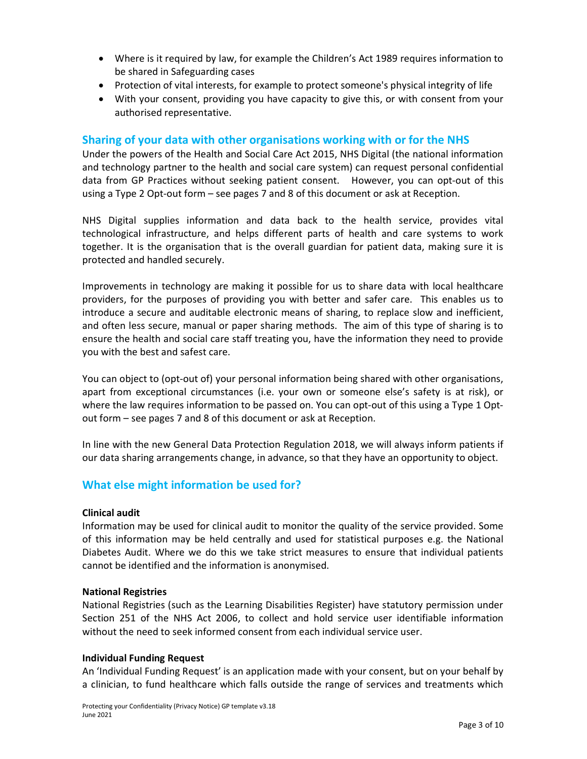- Where is it required by law, for example the Children's Act 1989 requires information to be shared in Safeguarding cases
- Protection of vital interests, for example to protect someone's physical integrity of life
- With your consent, providing you have capacity to give this, or with consent from your authorised representative.

# Sharing of your data with other organisations working with or for the NHS

Under the powers of the Health and Social Care Act 2015, NHS Digital (the national information and technology partner to the health and social care system) can request personal confidential data from GP Practices without seeking patient consent. However, you can opt-out of this using a Type 2 Opt-out form – see pages 7 and 8 of this document or ask at Reception.

NHS Digital supplies information and data back to the health service, provides vital technological infrastructure, and helps different parts of health and care systems to work together. It is the organisation that is the overall guardian for patient data, making sure it is protected and handled securely.

Improvements in technology are making it possible for us to share data with local healthcare providers, for the purposes of providing you with better and safer care. This enables us to introduce a secure and auditable electronic means of sharing, to replace slow and inefficient, and often less secure, manual or paper sharing methods. The aim of this type of sharing is to ensure the health and social care staff treating you, have the information they need to provide you with the best and safest care.

You can object to (opt-out of) your personal information being shared with other organisations, apart from exceptional circumstances (i.e. your own or someone else's safety is at risk), or where the law requires information to be passed on. You can opt-out of this using a Type 1 Optout form – see pages 7 and 8 of this document or ask at Reception.

In line with the new General Data Protection Regulation 2018, we will always inform patients if our data sharing arrangements change, in advance, so that they have an opportunity to object.

# What else might information be used for?

#### Clinical audit

Information may be used for clinical audit to monitor the quality of the service provided. Some of this information may be held centrally and used for statistical purposes e.g. the National Diabetes Audit. Where we do this we take strict measures to ensure that individual patients cannot be identified and the information is anonymised.

#### National Registries

National Registries (such as the Learning Disabilities Register) have statutory permission under Section 251 of the NHS Act 2006, to collect and hold service user identifiable information without the need to seek informed consent from each individual service user.

#### Individual Funding Request

An 'Individual Funding Request' is an application made with your consent, but on your behalf by a clinician, to fund healthcare which falls outside the range of services and treatments which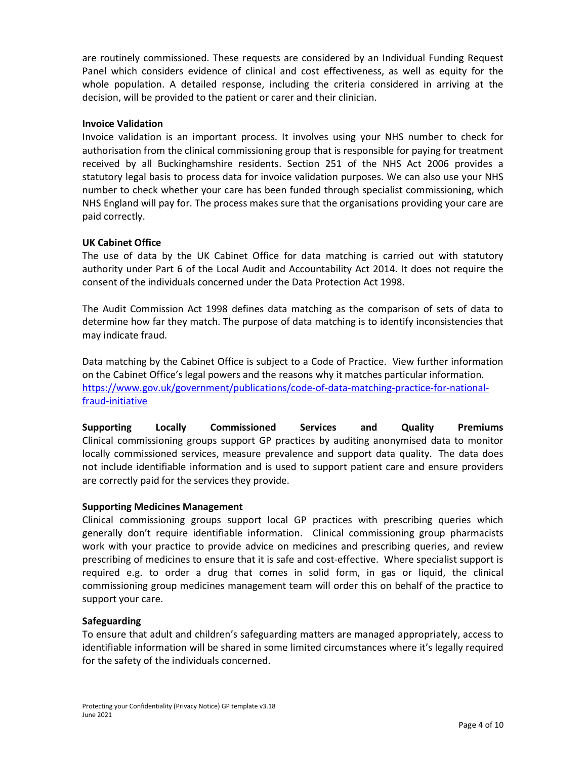are routinely commissioned. These requests are considered by an Individual Funding Request Panel which considers evidence of clinical and cost effectiveness, as well as equity for the whole population. A detailed response, including the criteria considered in arriving at the decision, will be provided to the patient or carer and their clinician.

#### Invoice Validation

Invoice validation is an important process. It involves using your NHS number to check for authorisation from the clinical commissioning group that is responsible for paying for treatment received by all Buckinghamshire residents. Section 251 of the NHS Act 2006 provides a statutory legal basis to process data for invoice validation purposes. We can also use your NHS number to check whether your care has been funded through specialist commissioning, which NHS England will pay for. The process makes sure that the organisations providing your care are paid correctly.

### UK Cabinet Office

The use of data by the UK Cabinet Office for data matching is carried out with statutory authority under Part 6 of the Local Audit and Accountability Act 2014. It does not require the consent of the individuals concerned under the Data Protection Act 1998.

The Audit Commission Act 1998 defines data matching as the comparison of sets of data to determine how far they match. The purpose of data matching is to identify inconsistencies that may indicate fraud.

Data matching by the Cabinet Office is subject to a Code of Practice. View further information on the Cabinet Office's legal powers and the reasons why it matches particular information. https://www.gov.uk/government/publications/code-of-data-matching-practice-for-nationalfraud-initiative

Supporting Locally Commissioned Services and Quality Premiums Clinical commissioning groups support GP practices by auditing anonymised data to monitor locally commissioned services, measure prevalence and support data quality. The data does not include identifiable information and is used to support patient care and ensure providers are correctly paid for the services they provide.

#### Supporting Medicines Management

Clinical commissioning groups support local GP practices with prescribing queries which generally don't require identifiable information. Clinical commissioning group pharmacists work with your practice to provide advice on medicines and prescribing queries, and review prescribing of medicines to ensure that it is safe and cost-effective. Where specialist support is required e.g. to order a drug that comes in solid form, in gas or liquid, the clinical commissioning group medicines management team will order this on behalf of the practice to support your care.

#### **Safeguarding**

To ensure that adult and children's safeguarding matters are managed appropriately, access to identifiable information will be shared in some limited circumstances where it's legally required for the safety of the individuals concerned.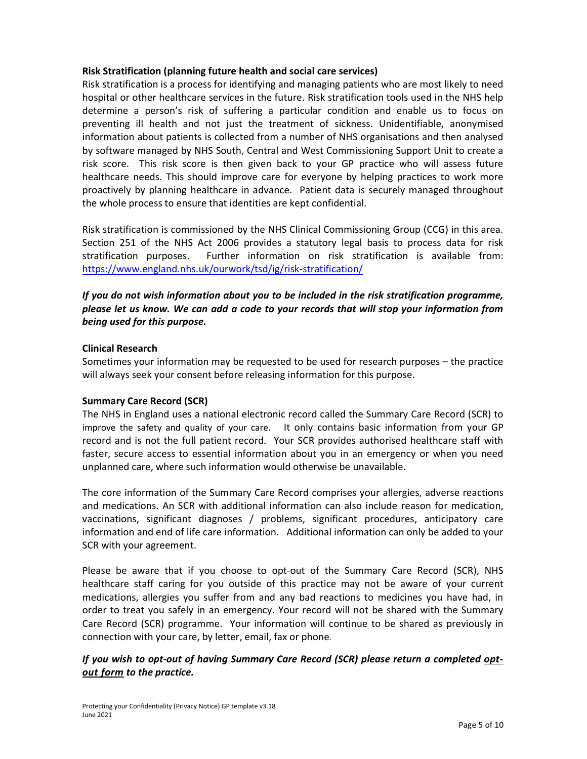### Risk Stratification (planning future health and social care services)

Risk stratification is a process for identifying and managing patients who are most likely to need hospital or other healthcare services in the future. Risk stratification tools used in the NHS help determine a person's risk of suffering a particular condition and enable us to focus on preventing ill health and not just the treatment of sickness. Unidentifiable, anonymised information about patients is collected from a number of NHS organisations and then analysed by software managed by NHS South, Central and West Commissioning Support Unit to create a risk score. This risk score is then given back to your GP practice who will assess future healthcare needs. This should improve care for everyone by helping practices to work more proactively by planning healthcare in advance. Patient data is securely managed throughout the whole process to ensure that identities are kept confidential.

Risk stratification is commissioned by the NHS Clinical Commissioning Group (CCG) in this area. Section 251 of the NHS Act 2006 provides a statutory legal basis to process data for risk stratification purposes. Further information on risk stratification is available from: https://www.england.nhs.uk/ourwork/tsd/ig/risk-stratification/

# If you do not wish information about you to be included in the risk stratification programme, please let us know. We can add a code to your records that will stop your information from being used for this purpose.

### Clinical Research

Sometimes your information may be requested to be used for research purposes – the practice will always seek your consent before releasing information for this purpose.

#### Summary Care Record (SCR)

The NHS in England uses a national electronic record called the Summary Care Record (SCR) to improve the safety and quality of your care. It only contains basic information from your GP record and is not the full patient record. Your SCR provides authorised healthcare staff with faster, secure access to essential information about you in an emergency or when you need unplanned care, where such information would otherwise be unavailable.

The core information of the Summary Care Record comprises your allergies, adverse reactions and medications. An SCR with additional information can also include reason for medication, vaccinations, significant diagnoses / problems, significant procedures, anticipatory care information and end of life care information. Additional information can only be added to your SCR with your agreement.

Please be aware that if you choose to opt-out of the Summary Care Record (SCR), NHS healthcare staff caring for you outside of this practice may not be aware of your current medications, allergies you suffer from and any bad reactions to medicines you have had, in order to treat you safely in an emergency. Your record will not be shared with the Summary Care Record (SCR) programme. Your information will continue to be shared as previously in connection with your care, by letter, email, fax or phone.

# If you wish to opt-out of having Summary Care Record (SCR) please return a completed optout form to the practice.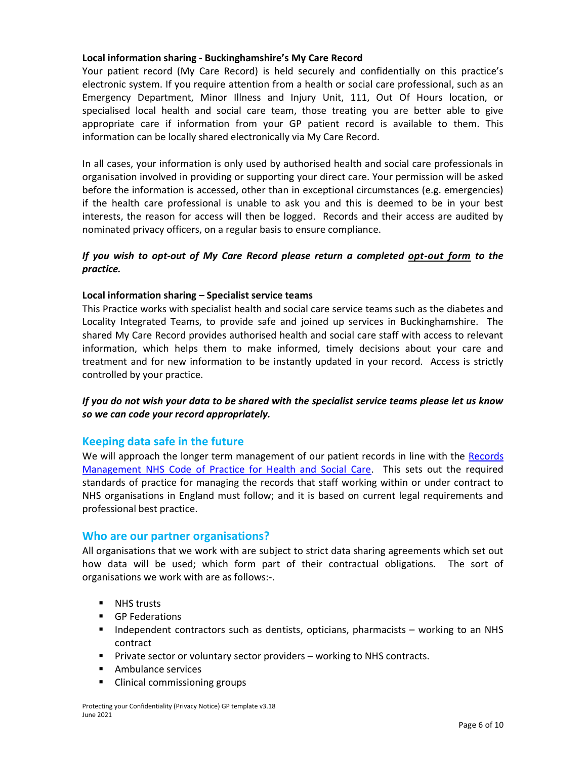### Local information sharing - Buckinghamshire's My Care Record

Your patient record (My Care Record) is held securely and confidentially on this practice's electronic system. If you require attention from a health or social care professional, such as an Emergency Department, Minor Illness and Injury Unit, 111, Out Of Hours location, or specialised local health and social care team, those treating you are better able to give appropriate care if information from your GP patient record is available to them. This information can be locally shared electronically via My Care Record.

In all cases, your information is only used by authorised health and social care professionals in organisation involved in providing or supporting your direct care. Your permission will be asked before the information is accessed, other than in exceptional circumstances (e.g. emergencies) if the health care professional is unable to ask you and this is deemed to be in your best interests, the reason for access will then be logged. Records and their access are audited by nominated privacy officers, on a regular basis to ensure compliance.

# If you wish to opt-out of My Care Record please return a completed opt-out form to the practice.

#### Local information sharing – Specialist service teams

This Practice works with specialist health and social care service teams such as the diabetes and Locality Integrated Teams, to provide safe and joined up services in Buckinghamshire. The shared My Care Record provides authorised health and social care staff with access to relevant information, which helps them to make informed, timely decisions about your care and treatment and for new information to be instantly updated in your record. Access is strictly controlled by your practice.

### If you do not wish your data to be shared with the specialist service teams please let us know so we can code your record appropriately.

# Keeping data safe in the future

We will approach the longer term management of our patient records in line with the Records Management NHS Code of Practice for Health and Social Care. This sets out the required standards of practice for managing the records that staff working within or under contract to NHS organisations in England must follow; and it is based on current legal requirements and professional best practice.

#### Who are our partner organisations?

All organisations that we work with are subject to strict data sharing agreements which set out how data will be used; which form part of their contractual obligations. The sort of organisations we work with are as follows:-.

- **NHS trusts**
- GP Federations
- Independent contractors such as dentists, opticians, pharmacists  $-$  working to an NHS contract
- Private sector or voluntary sector providers working to NHS contracts.
- **Ambulance services**
- Clinical commissioning groups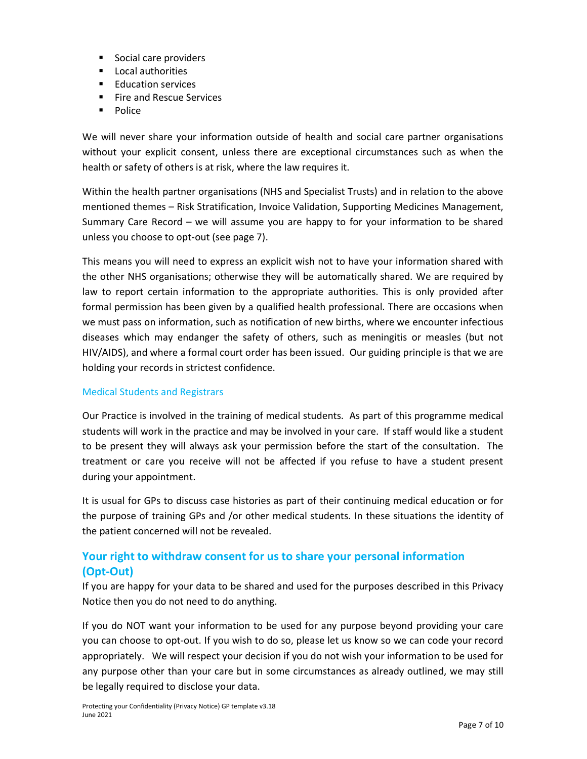- Social care providers
- Local authorities
- **Education services**
- **Fire and Rescue Services**
- **Police**

We will never share your information outside of health and social care partner organisations without your explicit consent, unless there are exceptional circumstances such as when the health or safety of others is at risk, where the law requires it.

Within the health partner organisations (NHS and Specialist Trusts) and in relation to the above mentioned themes – Risk Stratification, Invoice Validation, Supporting Medicines Management, Summary Care Record – we will assume you are happy to for your information to be shared unless you choose to opt-out (see page 7).

This means you will need to express an explicit wish not to have your information shared with the other NHS organisations; otherwise they will be automatically shared. We are required by law to report certain information to the appropriate authorities. This is only provided after formal permission has been given by a qualified health professional. There are occasions when we must pass on information, such as notification of new births, where we encounter infectious diseases which may endanger the safety of others, such as meningitis or measles (but not HIV/AIDS), and where a formal court order has been issued. Our guiding principle is that we are holding your records in strictest confidence.

# Medical Students and Registrars

Our Practice is involved in the training of medical students. As part of this programme medical students will work in the practice and may be involved in your care. If staff would like a student to be present they will always ask your permission before the start of the consultation. The treatment or care you receive will not be affected if you refuse to have a student present during your appointment.

It is usual for GPs to discuss case histories as part of their continuing medical education or for the purpose of training GPs and /or other medical students. In these situations the identity of the patient concerned will not be revealed.

# Your right to withdraw consent for us to share your personal information (Opt-Out)

If you are happy for your data to be shared and used for the purposes described in this Privacy Notice then you do not need to do anything.

If you do NOT want your information to be used for any purpose beyond providing your care you can choose to opt-out. If you wish to do so, please let us know so we can code your record appropriately. We will respect your decision if you do not wish your information to be used for any purpose other than your care but in some circumstances as already outlined, we may still be legally required to disclose your data.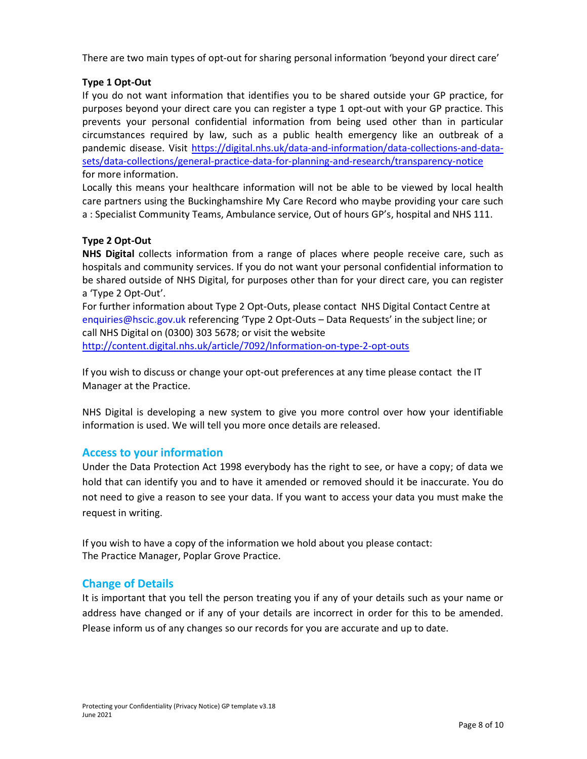There are two main types of opt-out for sharing personal information 'beyond your direct care'

# Type 1 Opt-Out

If you do not want information that identifies you to be shared outside your GP practice, for purposes beyond your direct care you can register a type 1 opt-out with your GP practice. This prevents your personal confidential information from being used other than in particular circumstances required by law, such as a public health emergency like an outbreak of a pandemic disease. Visit https://digital.nhs.uk/data-and-information/data-collections-and-datasets/data-collections/general-practice-data-for-planning-and-research/transparency-notice for more information.

Locally this means your healthcare information will not be able to be viewed by local health care partners using the Buckinghamshire My Care Record who maybe providing your care such a : Specialist Community Teams, Ambulance service, Out of hours GP's, hospital and NHS 111.

#### Type 2 Opt-Out

NHS Digital collects information from a range of places where people receive care, such as hospitals and community services. If you do not want your personal confidential information to be shared outside of NHS Digital, for purposes other than for your direct care, you can register a 'Type 2 Opt-Out'.

For further information about Type 2 Opt-Outs, please contact NHS Digital Contact Centre at enquiries@hscic.gov.uk referencing 'Type 2 Opt-Outs – Data Requests' in the subject line; or call NHS Digital on (0300) 303 5678; or visit the website http://content.digital.nhs.uk/article/7092/Information-on-type-2-opt-outs

If you wish to discuss or change your opt-out preferences at any time please contact the IT Manager at the Practice.

NHS Digital is developing a new system to give you more control over how your identifiable information is used. We will tell you more once details are released.

# Access to your information

Under the Data Protection Act 1998 everybody has the right to see, or have a copy; of data we hold that can identify you and to have it amended or removed should it be inaccurate. You do not need to give a reason to see your data. If you want to access your data you must make the request in writing.

If you wish to have a copy of the information we hold about you please contact: The Practice Manager, Poplar Grove Practice.

# Change of Details

It is important that you tell the person treating you if any of your details such as your name or address have changed or if any of your details are incorrect in order for this to be amended. Please inform us of any changes so our records for you are accurate and up to date.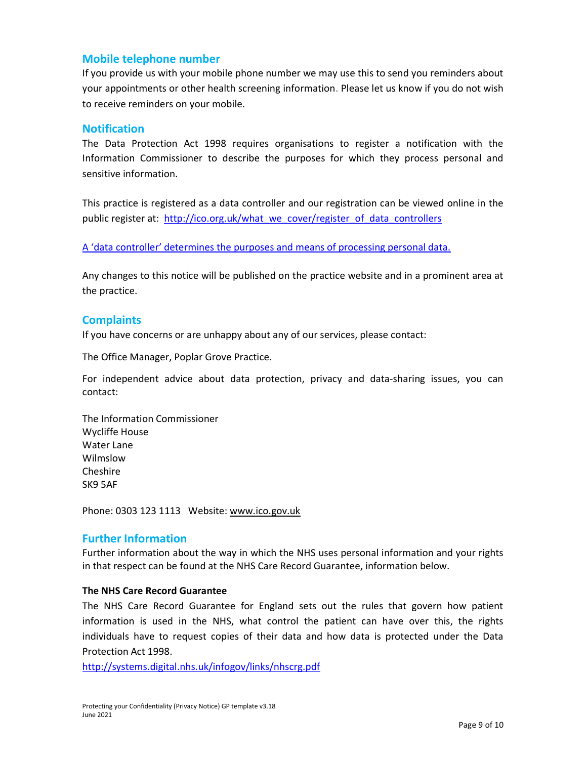# Mobile telephone number

If you provide us with your mobile phone number we may use this to send you reminders about your appointments or other health screening information. Please let us know if you do not wish to receive reminders on your mobile.

### **Notification**

The Data Protection Act 1998 requires organisations to register a notification with the Information Commissioner to describe the purposes for which they process personal and sensitive information.

This practice is registered as a data controller and our registration can be viewed online in the public register at: http://ico.org.uk/what\_we\_cover/register\_of\_data\_controllers

A 'data controller' determines the purposes and means of processing personal data.

Any changes to this notice will be published on the practice website and in a prominent area at the practice.

# **Complaints**

If you have concerns or are unhappy about any of our services, please contact:

The Office Manager, Poplar Grove Practice.

For independent advice about data protection, privacy and data-sharing issues, you can contact:

The Information Commissioner Wycliffe House Water Lane Wilmslow Cheshire SK9 5AF

Phone: 0303 123 1113 Website: www.ico.gov.uk

# Further Information

Further information about the way in which the NHS uses personal information and your rights in that respect can be found at the NHS Care Record Guarantee, information below.

# The NHS Care Record Guarantee

The NHS Care Record Guarantee for England sets out the rules that govern how patient information is used in the NHS, what control the patient can have over this, the rights individuals have to request copies of their data and how data is protected under the Data Protection Act 1998.

http://systems.digital.nhs.uk/infogov/links/nhscrg.pdf